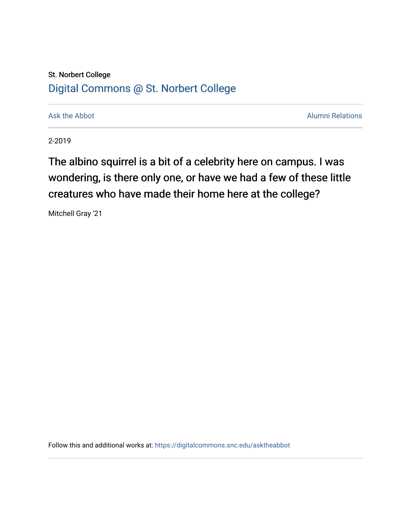# St. Norbert College [Digital Commons @ St. Norbert College](https://digitalcommons.snc.edu/)

[Ask the Abbot](https://digitalcommons.snc.edu/asktheabbot) **Alumni Relations** Ask the Abbot [Alumni Relations](https://digitalcommons.snc.edu/alumni) and Alumni Relations and Alumni Relations and Alumni Relations and Alumni Relations and Alumni Relations and Alumni Relations and Alumni Relations and Alumni

2-2019

The albino squirrel is a bit of a celebrity here on campus. I was wondering, is there only one, or have we had a few of these little creatures who have made their home here at the college?

Mitchell Gray '21

Follow this and additional works at: [https://digitalcommons.snc.edu/asktheabbot](https://digitalcommons.snc.edu/asktheabbot?utm_source=digitalcommons.snc.edu%2Fasktheabbot%2F167&utm_medium=PDF&utm_campaign=PDFCoverPages)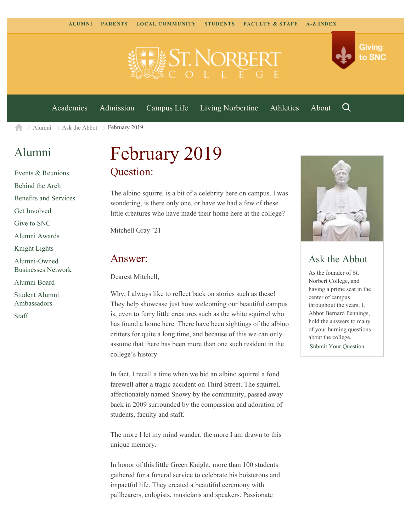



[Academics](https://www.snc.edu/academics) [Admission](https://www.snc.edu/admission) [Campus Life](https://www.snc.edu/campuslife) [Living Norbertine](https://www.snc.edu/livingnorbertine) [Athletics](https://www.snc.edu/athletics) [About](https://www.snc.edu/about)

Q

[Alumni](https://www.snc.edu/alumni/)  $\geq$  [Ask the Abbot](https://www.snc.edu/alumni/abbot/)  $\geq$  February 2019 合

## [Alumni](https://www.snc.edu/alumni/index.html)

[Events & Reunions](https://www.snc.edu/alumni/event/index.html) [Behind the Arch](https://www.snc.edu/alumni/event/behindthearch/) [Benefits and Services](https://www.snc.edu/alumni/benefits.html) [Get Involved](https://www.snc.edu/alumni/getinvolved.html) [Give to SNC](http://giving.snc.edu/) [Alumni Awards](https://www.snc.edu/alumni/awards/index.html) [Knight Lights](https://www.snc.edu/alumni/knightlights/index.html) [Alumni-Owned](https://www.snc.edu/alumni/directory/index.html) [Businesses Network](https://www.snc.edu/alumni/directory/index.html) [Alumni Board](https://www.snc.edu/alumni/alumniboard.html) [Student Alumni](https://www.snc.edu/alumni/saa.html) [Ambassadors](https://www.snc.edu/alumni/saa.html) [Staff](https://www.snc.edu/alumni/contactus.html)

# February 2019 Question:

The albino squirrel is a bit of a celebrity here on campus. I was wondering, is there only one, or have we had a few of these little creatures who have made their home here at the college?

Mitchell Gray '21

#### Answer:

Dearest Mitchell,

Why, I always like to reflect back on stories such as these! They help showcase just how welcoming our beautiful campus is, even to furry little creatures such as the white squirrel who has found a home here. There have been sightings of the albino critters for quite a long time, and because of this we can only assume that there has been more than one such resident in the college's history.

In fact, I recall a time when we bid an albino squirrel a fond farewell after a tragic accident on Third Street. The squirrel, affectionately named Snowy by the community, passed away back in 2009 surrounded by the compassion and adoration of students, faculty and staff.

The more I let my mind wander, the more I am drawn to this unique memory.

In honor of this little Green Knight, more than 100 students gathered for a funeral service to celebrate his boisterous and impactful life. They created a beautiful ceremony with pallbearers, eulogists, musicians and speakers. Passionate



## Ask the Abbot

As the founder of St. Norbert College, and having a prime seat in the center of campus throughout the years, I, Abbot Bernard Pennings, hold the answers to many of your burning questions about the college. [Submit Your Question](https://www.snc.edu/alumni/abbot/index.html)